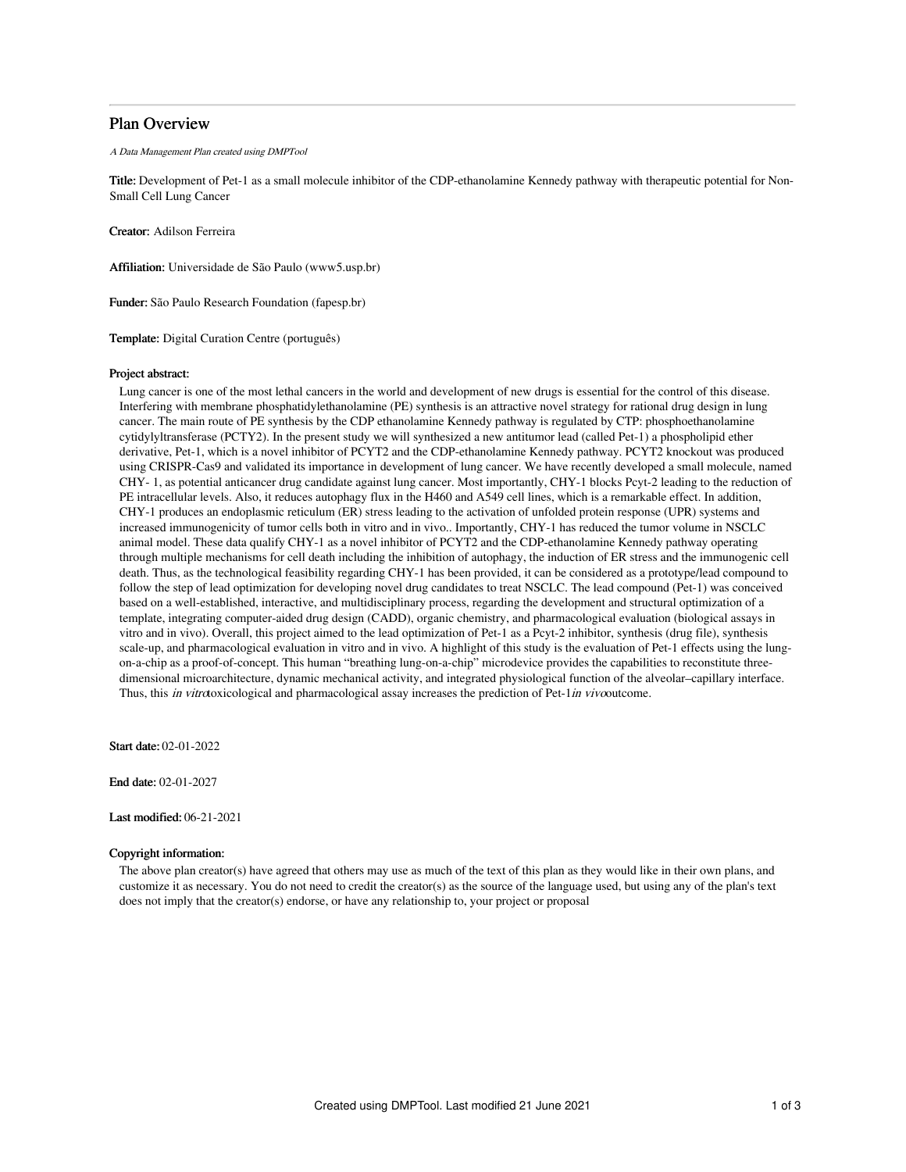## Plan Overview

A Data Management Plan created using DMPTool

Title: Development of Pet-1 as a small molecule inhibitor of the CDP-ethanolamine Kennedy pathway with therapeutic potential for Non-Small Cell Lung Cancer

Creator: Adilson Ferreira

Affiliation: Universidade de São Paulo (www5.usp.br)

Funder: São Paulo Research Foundation (fapesp.br)

Template: Digital Curation Centre (português)

## Project abstract:

Lung cancer is one of the most lethal cancers in the world and development of new drugs is essential for the control of this disease. Interfering with membrane phosphatidylethanolamine (PE) synthesis is an attractive novel strategy for rational drug design in lung cancer. The main route of PE synthesis by the CDP ethanolamine Kennedy pathway is regulated by CTP: phosphoethanolamine cytidylyltransferase (PCTY2). In the present study we will synthesized a new antitumor lead (called Pet-1) a phospholipid ether derivative, Pet-1, which is a novel inhibitor of PCYT2 and the CDP-ethanolamine Kennedy pathway. PCYT2 knockout was produced using CRISPR-Cas9 and validated its importance in development of lung cancer. We have recently developed a small molecule, named CHY- 1, as potential anticancer drug candidate against lung cancer. Most importantly, CHY-1 blocks Pcyt-2 leading to the reduction of PE intracellular levels. Also, it reduces autophagy flux in the H460 and A549 cell lines, which is a remarkable effect. In addition, CHY-1 produces an endoplasmic reticulum (ER) stress leading to the activation of unfolded protein response (UPR) systems and increased immunogenicity of tumor cells both in vitro and in vivo.. Importantly, CHY-1 has reduced the tumor volume in NSCLC animal model. These data qualify CHY-1 as a novel inhibitor of PCYT2 and the CDP-ethanolamine Kennedy pathway operating through multiple mechanisms for cell death including the inhibition of autophagy, the induction of ER stress and the immunogenic cell death. Thus, as the technological feasibility regarding CHY-1 has been provided, it can be considered as a prototype/lead compound to follow the step of lead optimization for developing novel drug candidates to treat NSCLC. The lead compound (Pet-1) was conceived based on a well-established, interactive, and multidisciplinary process, regarding the development and structural optimization of a template, integrating computer-aided drug design (CADD), organic chemistry, and pharmacological evaluation (biological assays in vitro and in vivo). Overall, this project aimed to the lead optimization of Pet-1 as a Pcyt-2 inhibitor, synthesis (drug file), synthesis scale-up, and pharmacological evaluation in vitro and in vivo. A highlight of this study is the evaluation of Pet-1 effects using the lungon-a-chip as a proof-of-concept. This human "breathing lung-on-a-chip" microdevice provides the capabilities to reconstitute threedimensional microarchitecture, dynamic mechanical activity, and integrated physiological function of the alveolar–capillary interface. Thus, this in vitrotoxicological and pharmacological assay increases the prediction of Pet-1in vivooutcome.

Start date: 02-01-2022

End date: 02-01-2027

Last modified: 06-21-2021

## Copyright information:

The above plan creator(s) have agreed that others may use as much of the text of this plan as they would like in their own plans, and customize it as necessary. You do not need to credit the creator(s) as the source of the language used, but using any of the plan's text does not imply that the creator(s) endorse, or have any relationship to, your project or proposal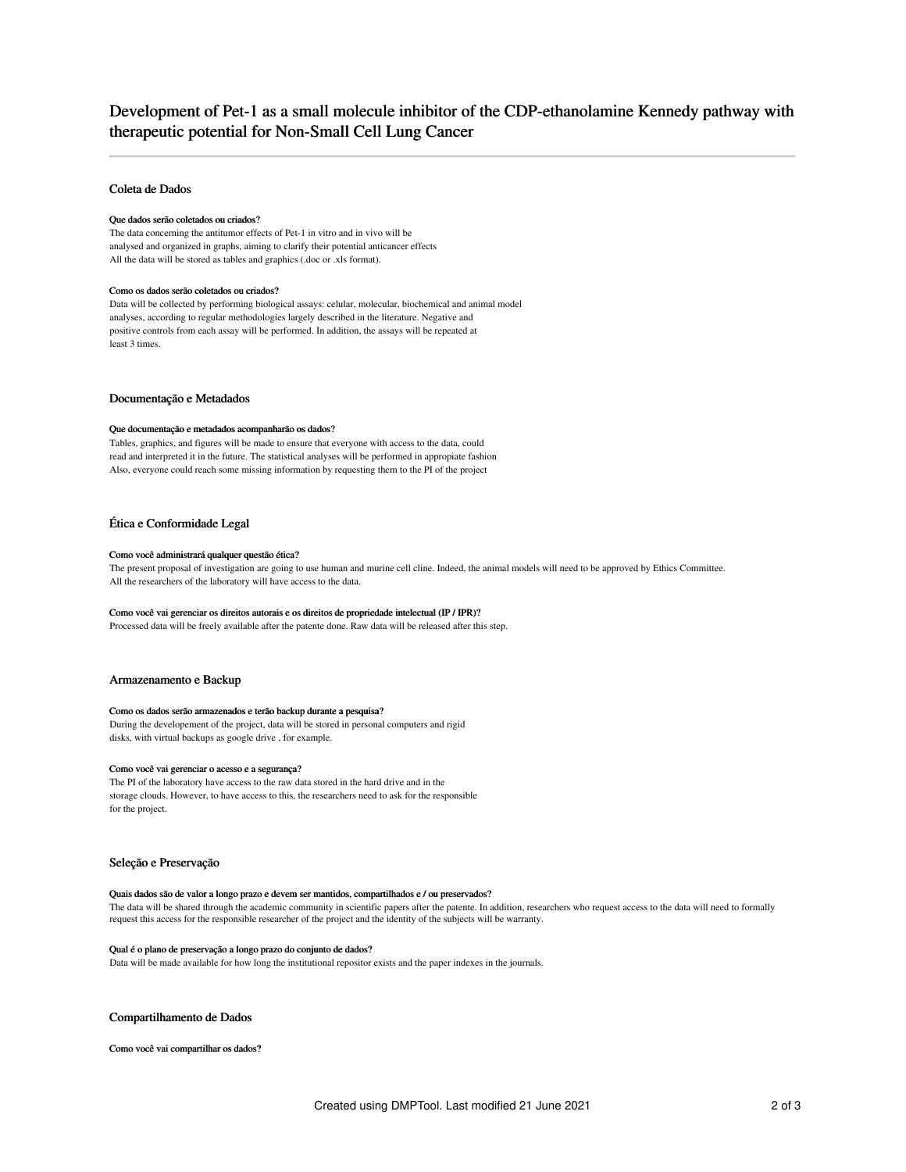# Development of Pet-1 as a small molecule inhibitor of the CDP-ethanolamine Kennedy pathway with therapeutic potential for Non-Small Cell Lung Cancer

## Coleta de Dados

#### Que dados serão coletados ou criados?

The data concerning the antitumor effects of Pet-1 in vitro and in vivo will be analysed and organized in graphs, aiming to clarify their potential anticancer effects All the data will be stored as tables and graphics (.doc or .xls format).

#### Como os dados serão coletados ou criados?

Data will be collected by performing biological assays: celular, molecular, biochemical and animal model analyses, according to regular methodologies largely described in the literature. Negative and positive controls from each assay will be performed. In addition, the assays will be repeated at least 3 times.

## Documentação e Metadados

#### Que documentação e metadados acompanharão os dados?

Tables, graphics, and figures will be made to ensure that everyone with access to the data, could read and interpreted it in the future. The statistical analyses will be performed in appropiate fashion Also, everyone could reach some missing information by requesting them to the PI of the project

## Ética e Conformidade Legal

#### Como você administrará qualquer questão ética?

The present proposal of investigation are going to use human and murine cell cline. Indeed, the animal models will need to be approved by Ethics Committee. All the researchers of the laboratory will have access to the data.

#### Como você vai gerenciar os direitos autorais e os direitos de propriedade intelectual (IP / IPR)?

Processed data will be freely available after the patente done. Raw data will be released after this step.

## Armazenamento e Backup

#### Como os dados serão armazenados e terão backup durante a pesquisa?

During the developement of the project, data will be stored in personal computers and rigid disks, with virtual backups as google drive , for example.

#### Como você vai gerenciar o acesso e a segurança?

The PI of the laboratory have access to the raw data stored in the hard drive and in the storage clouds. However, to have access to this, the researchers need to ask for the responsible for the project.

### Seleção e Preservação

#### Quais dados são de valor a longo prazo e devem ser mantidos, compartilhados e / ou preservados? The data will be shared through the academic community in scientific papers after the patente. In addition, researchers who request access to the data will need to formally

request this access for the responsible researcher of the project and the identity of the subjects will be warranty.

## Qual é o plano de preservação a longo prazo do conjunto de dados?

Data will be made available for how long the institutional repositor exists and the paper indexes in the journals.

## Compartilhamento de Dados

Como você vai compartilhar os dados?